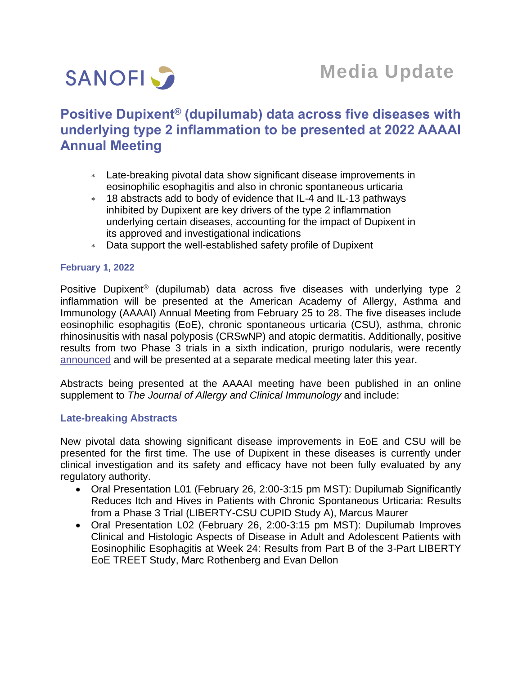

# **Media Update**

## **Positive Dupixent® (dupilumab) data across five diseases with underlying type 2 inflammation to be presented at 2022 AAAAI Annual Meeting**

- Late-breaking pivotal data show significant disease improvements in eosinophilic esophagitis and also in chronic spontaneous urticaria
- 18 abstracts add to body of evidence that IL-4 and IL-13 pathways inhibited by Dupixent are key drivers of the type 2 inflammation underlying certain diseases, accounting for the impact of Dupixent in its approved and investigational indications
- Data support the well-established safety profile of Dupixent

#### **February 1, 2022**

Positive Dupixent® (dupilumab) data across five diseases with underlying type 2 inflammation will be presented at the American Academy of Allergy, Asthma and Immunology (AAAAI) Annual Meeting from February 25 to 28. The five diseases include eosinophilic esophagitis (EoE), chronic spontaneous urticaria (CSU), asthma, chronic rhinosinusitis with nasal polyposis (CRSwNP) and atopic dermatitis. Additionally, positive results from two Phase 3 trials in a sixth indication, prurigo nodularis, were recently [announced](https://www.sanofi.com/en/media-room/press-releases/2022/2022-01-19-07-00-00-2368986) and will be presented at a separate medical meeting later this year.

Abstracts being presented at the AAAAI meeting have been published in an online supplement to *The Journal of Allergy and Clinical Immunology* and include:

#### **Late-breaking Abstracts**

New pivotal data showing significant disease improvements in EoE and CSU will be presented for the first time. The use of Dupixent in these diseases is currently under clinical investigation and its safety and efficacy have not been fully evaluated by any regulatory authority.

- Oral Presentation L01 (February 26, 2:00-3:15 pm MST): Dupilumab Significantly Reduces Itch and Hives in Patients with Chronic Spontaneous Urticaria: Results from a Phase 3 Trial (LIBERTY-CSU CUPID Study A), Marcus Maurer
- Oral Presentation L02 (February 26, 2:00-3:15 pm MST): Dupilumab Improves Clinical and Histologic Aspects of Disease in Adult and Adolescent Patients with Eosinophilic Esophagitis at Week 24: Results from Part B of the 3-Part LIBERTY EoE TREET Study, Marc Rothenberg and Evan Dellon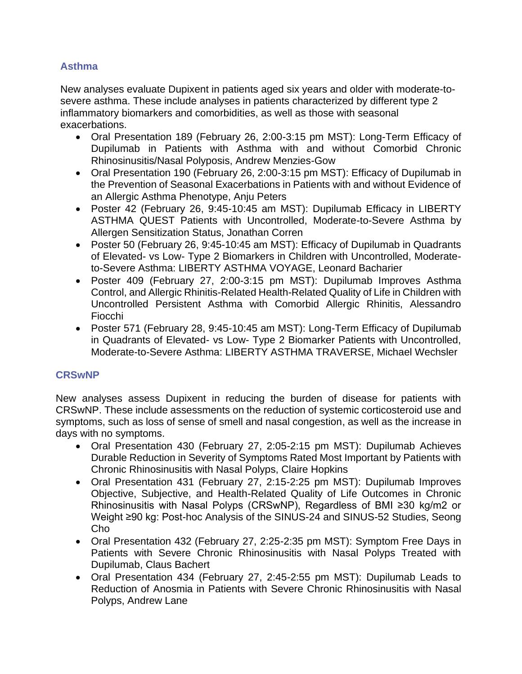## **Asthma**

New analyses evaluate Dupixent in patients aged six years and older with moderate-tosevere asthma. These include analyses in patients characterized by different type 2 inflammatory biomarkers and comorbidities, as well as those with seasonal exacerbations.

- Oral Presentation 189 (February 26, 2:00-3:15 pm MST): Long-Term Efficacy of Dupilumab in Patients with Asthma with and without Comorbid Chronic Rhinosinusitis/Nasal Polyposis, Andrew Menzies-Gow
- Oral Presentation 190 (February 26, 2:00-3:15 pm MST): Efficacy of Dupilumab in the Prevention of Seasonal Exacerbations in Patients with and without Evidence of an Allergic Asthma Phenotype, Anju Peters
- Poster 42 (February 26, 9:45-10:45 am MST): Dupilumab Efficacy in LIBERTY ASTHMA QUEST Patients with Uncontrolled, Moderate-to-Severe Asthma by Allergen Sensitization Status, Jonathan Corren
- Poster 50 (February 26, 9:45-10:45 am MST): Efficacy of Dupilumab in Quadrants of Elevated- vs Low- Type 2 Biomarkers in Children with Uncontrolled, Moderateto-Severe Asthma: LIBERTY ASTHMA VOYAGE, Leonard Bacharier
- Poster 409 (February 27, 2:00-3:15 pm MST): Dupilumab Improves Asthma Control, and Allergic Rhinitis-Related Health-Related Quality of Life in Children with Uncontrolled Persistent Asthma with Comorbid Allergic Rhinitis, Alessandro Fiocchi
- Poster 571 (February 28, 9:45-10:45 am MST): Long-Term Efficacy of Dupilumab in Quadrants of Elevated- vs Low- Type 2 Biomarker Patients with Uncontrolled, Moderate-to-Severe Asthma: LIBERTY ASTHMA TRAVERSE, Michael Wechsler

## **CRSwNP**

New analyses assess Dupixent in reducing the burden of disease for patients with CRSwNP. These include assessments on the reduction of systemic corticosteroid use and symptoms, such as loss of sense of smell and nasal congestion, as well as the increase in days with no symptoms.

- Oral Presentation 430 (February 27, 2:05-2:15 pm MST): Dupilumab Achieves Durable Reduction in Severity of Symptoms Rated Most Important by Patients with Chronic Rhinosinusitis with Nasal Polyps, Claire Hopkins
- Oral Presentation 431 (February 27, 2:15-2:25 pm MST): Dupilumab Improves Objective, Subjective, and Health-Related Quality of Life Outcomes in Chronic Rhinosinusitis with Nasal Polyps (CRSwNP), Regardless of BMI ≥30 kg/m2 or Weight ≥90 kg: Post-hoc Analysis of the SINUS-24 and SINUS-52 Studies, Seong Cho
- Oral Presentation 432 (February 27, 2:25-2:35 pm MST): Symptom Free Days in Patients with Severe Chronic Rhinosinusitis with Nasal Polyps Treated with Dupilumab, Claus Bachert
- Oral Presentation 434 (February 27, 2:45-2:55 pm MST): Dupilumab Leads to Reduction of Anosmia in Patients with Severe Chronic Rhinosinusitis with Nasal Polyps, Andrew Lane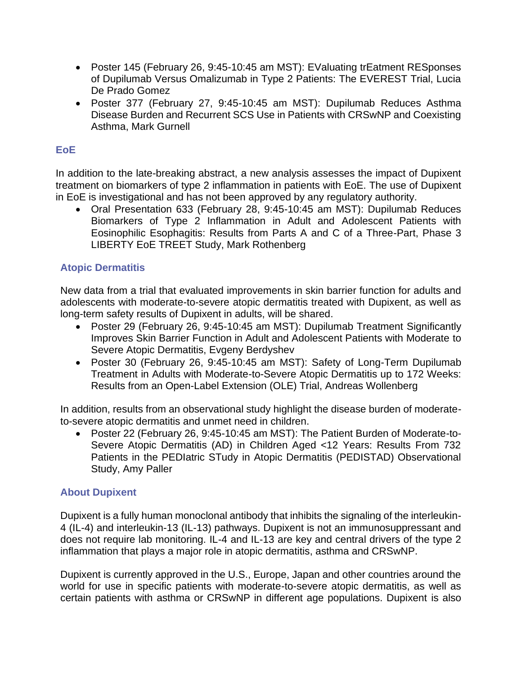- Poster 145 (February 26, 9:45-10:45 am MST): EValuating trEatment RESponses of Dupilumab Versus Omalizumab in Type 2 Patients: The EVEREST Trial, Lucia De Prado Gomez
- Poster 377 (February 27, 9:45-10:45 am MST): Dupilumab Reduces Asthma Disease Burden and Recurrent SCS Use in Patients with CRSwNP and Coexisting Asthma, Mark Gurnell

## **EoE**

In addition to the late-breaking abstract, a new analysis assesses the impact of Dupixent treatment on biomarkers of type 2 inflammation in patients with EoE. The use of Dupixent in EoE is investigational and has not been approved by any regulatory authority.

• Oral Presentation 633 (February 28, 9:45-10:45 am MST): Dupilumab Reduces Biomarkers of Type 2 Inflammation in Adult and Adolescent Patients with Eosinophilic Esophagitis: Results from Parts A and C of a Three-Part, Phase 3 LIBERTY EoE TREET Study, Mark Rothenberg

### **Atopic Dermatitis**

New data from a trial that evaluated improvements in skin barrier function for adults and adolescents with moderate-to-severe atopic dermatitis treated with Dupixent, as well as long-term safety results of Dupixent in adults, will be shared.

- Poster 29 (February 26, 9:45-10:45 am MST): Dupilumab Treatment Significantly Improves Skin Barrier Function in Adult and Adolescent Patients with Moderate to Severe Atopic Dermatitis, Evgeny Berdyshev
- Poster 30 (February 26, 9:45-10:45 am MST): Safety of Long-Term Dupilumab Treatment in Adults with Moderate-to-Severe Atopic Dermatitis up to 172 Weeks: Results from an Open-Label Extension (OLE) Trial, Andreas Wollenberg

In addition, results from an observational study highlight the disease burden of moderateto-severe atopic dermatitis and unmet need in children.

• Poster 22 (February 26, 9:45-10:45 am MST): The Patient Burden of Moderate-to-Severe Atopic Dermatitis (AD) in Children Aged <12 Years: Results From 732 Patients in the PEDIatric STudy in Atopic Dermatitis (PEDISTAD) Observational Study, Amy Paller

### **About Dupixent**

Dupixent is a fully human monoclonal antibody that inhibits the signaling of the interleukin-4 (IL-4) and interleukin-13 (IL-13) pathways. Dupixent is not an immunosuppressant and does not require lab monitoring. IL-4 and IL-13 are key and central drivers of the type 2 inflammation that plays a major role in atopic dermatitis, asthma and CRSwNP.

Dupixent is currently approved in the U.S., Europe, Japan and other countries around the world for use in specific patients with moderate-to-severe atopic dermatitis, as well as certain patients with asthma or CRSwNP in different age populations. Dupixent is also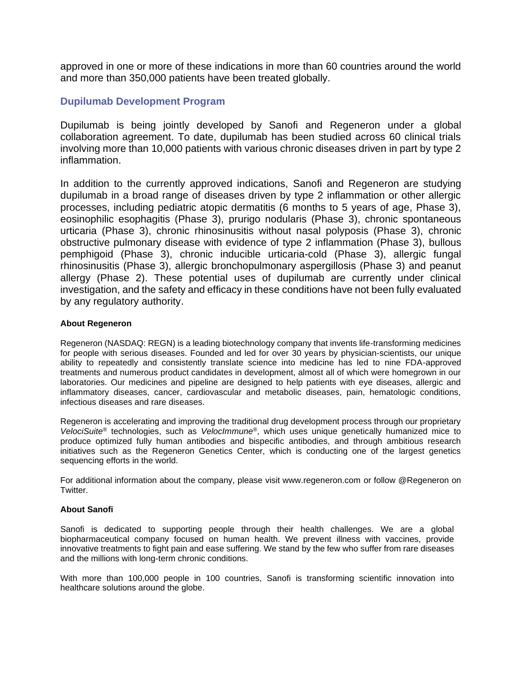approved in one or more of these indications in more than 60 countries around the world and more than 350,000 patients have been treated globally.

#### **Dupilumab Development Program**

Dupilumab is being jointly developed by Sanofi and Regeneron under a global collaboration agreement. To date, dupilumab has been studied across 60 clinical trials involving more than 10,000 patients with various chronic diseases driven in part by type 2 inflammation.

In addition to the currently approved indications, Sanofi and Regeneron are studying dupilumab in a broad range of diseases driven by type 2 inflammation or other allergic processes, including pediatric atopic dermatitis (6 months to 5 years of age, Phase 3), eosinophilic esophagitis (Phase 3), prurigo nodularis (Phase 3), chronic spontaneous urticaria (Phase 3), chronic rhinosinusitis without nasal polyposis (Phase 3), chronic obstructive pulmonary disease with evidence of type 2 inflammation (Phase 3), bullous pemphigoid (Phase 3), chronic inducible urticaria-cold (Phase 3), allergic fungal rhinosinusitis (Phase 3), allergic bronchopulmonary aspergillosis (Phase 3) and peanut allergy (Phase 2). These potential uses of dupilumab are currently under clinical investigation, and the safety and efficacy in these conditions have not been fully evaluated by any regulatory authority.

#### **About Regeneron**

Regeneron (NASDAQ: REGN) is a leading biotechnology company that invents life-transforming medicines for people with serious diseases. Founded and led for over 30 years by physician-scientists, our unique ability to repeatedly and consistently translate science into medicine has led to nine FDA-approved treatments and numerous product candidates in development, almost all of which were homegrown in our laboratories. Our medicines and pipeline are designed to help patients with eye diseases, allergic and inflammatory diseases, cancer, cardiovascular and metabolic diseases, pain, hematologic conditions, infectious diseases and rare diseases.

Regeneron is accelerating and improving the traditional drug development process through our proprietary *VelociSuite®* technologies, such as *VelocImmune®*, which uses unique genetically humanized mice to produce optimized fully human antibodies and bispecific antibodies, and through ambitious research initiatives such as the Regeneron Genetics Center, which is conducting one of the largest genetics sequencing efforts in the world.

For additional information about the company, please visit www.regeneron.com or follow @Regeneron on Twitter.

#### **About Sanofi**

Sanofi is dedicated to supporting people through their health challenges. We are a global biopharmaceutical company focused on human health. We prevent illness with vaccines, provide innovative treatments to fight pain and ease suffering. We stand by the few who suffer from rare diseases and the millions with long-term chronic conditions.

With more than 100,000 people in 100 countries, Sanofi is transforming scientific innovation into healthcare solutions around the globe.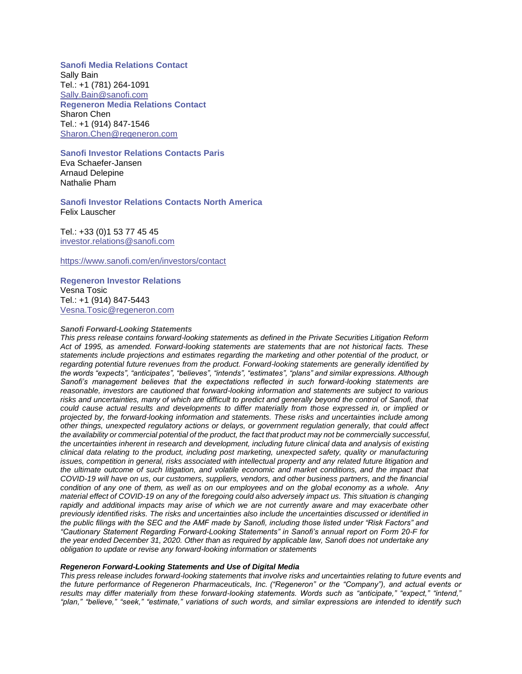**Sanofi Media Relations Contact** Sally Bain Tel.: +1 (781) 264-1091 [Sally.Bain@sanofi.com](mailto:Sally.Bain@sanofi.com) **Regeneron Media Relations Contact** Sharon Chen Tel.: +1 (914) 847-1546 [Sharon.Chen@regeneron.com](mailto:Sharon.Chen@regeneron.com) 

#### **Sanofi Investor Relations Contacts Paris**

Eva Schaefer-Jansen Arnaud Delepine Nathalie Pham

**Sanofi Investor Relations Contacts North America** Felix Lauscher

Tel.: +33 (0)1 53 77 45 45 [investor.relations@sanofi.com](mailto:investor.relations@sanofi.com)

<https://www.sanofi.com/en/investors/contact>

#### **Regeneron Investor Relations** Vesna Tosic

Tel.: +1 (914) 847-5443 [Vesna.Tosic@regeneron.com](mailto:Vesna.Tosic@regeneron.com) 

#### *Sanofi Forward-Looking Statements*

*This press release contains forward-looking statements as defined in the Private Securities Litigation Reform Act of 1995, as amended. Forward-looking statements are statements that are not historical facts. These statements include projections and estimates regarding the marketing and other potential of the product, or regarding potential future revenues from the product. Forward-looking statements are generally identified by the words "expects", "anticipates", "believes", "intends", "estimates", "plans" and similar expressions. Although Sanofi's management believes that the expectations reflected in such forward-looking statements are reasonable, investors are cautioned that forward-looking information and statements are subject to various*  risks and uncertainties, many of which are difficult to predict and generally beyond the control of Sanofi, that *could cause actual results and developments to differ materially from those expressed in, or implied or projected by, the forward-looking information and statements. These risks and uncertainties include among other things, unexpected regulatory actions or delays, or government regulation generally, that could affect*  the availability or commercial potential of the product, the fact that product may not be commercially successful, *the uncertainties inherent in research and development, including future clinical data and analysis of existing clinical data relating to the product, including post marketing, unexpected safety, quality or manufacturing issues, competition in general, risks associated with intellectual property and any related future litigation and the ultimate outcome of such litigation, and volatile economic and market conditions, and the impact that COVID-19 will have on us, our customers, suppliers, vendors, and other business partners, and the financial condition of any one of them, as well as on our employees and on the global economy as a whole. Any material effect of COVID-19 on any of the foregoing could also adversely impact us. This situation is changing*  rapidly and additional impacts may arise of which we are not currently aware and may exacerbate other *previously identified risks. The risks and uncertainties also include the uncertainties discussed or identified in the public filings with the SEC and the AMF made by Sanofi, including those listed under "Risk Factors" and "Cautionary Statement Regarding Forward-Looking Statements" in Sanofi's annual report on Form 20-F for the year ended December 31, 2020. Other than as required by applicable law, Sanofi does not undertake any obligation to update or revise any forward-looking information or statements*

#### *Regeneron Forward-Looking Statements and Use of Digital Media*

*This press release includes forward-looking statements that involve risks and uncertainties relating to future events and the future performance of Regeneron Pharmaceuticals, Inc. ("Regeneron" or the "Company"), and actual events or results may differ materially from these forward-looking statements. Words such as "anticipate," "expect," "intend," "plan," "believe," "seek," "estimate," variations of such words, and similar expressions are intended to identify such*